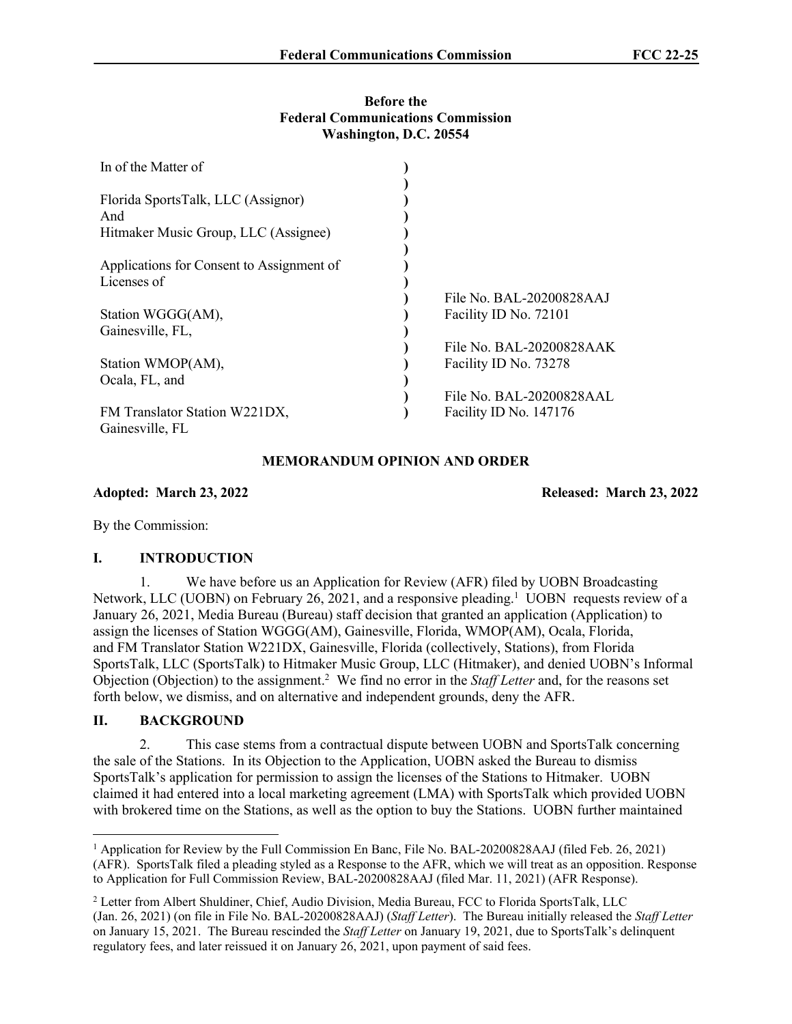#### **Before the Federal Communications Commission Washington, D.C. 20554**

| In of the Matter of                       |                          |
|-------------------------------------------|--------------------------|
| Florida SportsTalk, LLC (Assignor)        |                          |
| And                                       |                          |
| Hitmaker Music Group, LLC (Assignee)      |                          |
|                                           |                          |
| Applications for Consent to Assignment of |                          |
| Licenses of                               |                          |
|                                           | File No. BAL-20200828AAJ |
| Station WGGG(AM),                         | Facility ID No. 72101    |
| Gainesville, FL,                          |                          |
|                                           | File No. BAL-20200828AAK |
| Station WMOP(AM),                         | Facility ID No. 73278    |
| Ocala, FL, and                            |                          |
|                                           | File No. BAL-20200828AAL |
| FM Translator Station W221DX,             | Facility ID No. 147176   |
| Gainesville, FL                           |                          |

# **MEMORANDUM OPINION AND ORDER**

**Adopted: March 23, 2022 Released: March 23, 2022**

By the Commission:

#### **I. INTRODUCTION**

1. We have before us an Application for Review (AFR) filed by UOBN Broadcasting Network, LLC (UOBN) on February 26, 2021, and a responsive pleading.<sup>1</sup> UOBN requests review of a January 26, 2021, Media Bureau (Bureau) staff decision that granted an application (Application) to assign the licenses of Station WGGG(AM), Gainesville, Florida, WMOP(AM), Ocala, Florida, and FM Translator Station W221DX, Gainesville, Florida (collectively, Stations), from Florida SportsTalk, LLC (SportsTalk) to Hitmaker Music Group, LLC (Hitmaker), and denied UOBN's Informal Objection (Objection) to the assignment.<sup>2</sup> We find no error in the *Staff Letter* and, for the reasons set forth below, we dismiss, and on alternative and independent grounds, deny the AFR.

### **II. BACKGROUND**

2. This case stems from a contractual dispute between UOBN and SportsTalk concerning the sale of the Stations. In its Objection to the Application, UOBN asked the Bureau to dismiss SportsTalk's application for permission to assign the licenses of the Stations to Hitmaker. UOBN claimed it had entered into a local marketing agreement (LMA) with SportsTalk which provided UOBN with brokered time on the Stations, as well as the option to buy the Stations. UOBN further maintained

<sup>&</sup>lt;sup>1</sup> Application for Review by the Full Commission En Banc, File No. BAL-20200828AAJ (filed Feb. 26, 2021) (AFR). SportsTalk filed a pleading styled as a Response to the AFR, which we will treat as an opposition. Response to Application for Full Commission Review, BAL-20200828AAJ (filed Mar. 11, 2021) (AFR Response).

<sup>2</sup> Letter from Albert Shuldiner, Chief, Audio Division, Media Bureau, FCC to Florida SportsTalk, LLC (Jan. 26, 2021) (on file in File No. BAL-20200828AAJ) (*Staff Letter*). The Bureau initially released the *Staff Letter* on January 15, 2021. The Bureau rescinded the *Staff Letter* on January 19, 2021, due to SportsTalk's delinquent regulatory fees, and later reissued it on January 26, 2021, upon payment of said fees.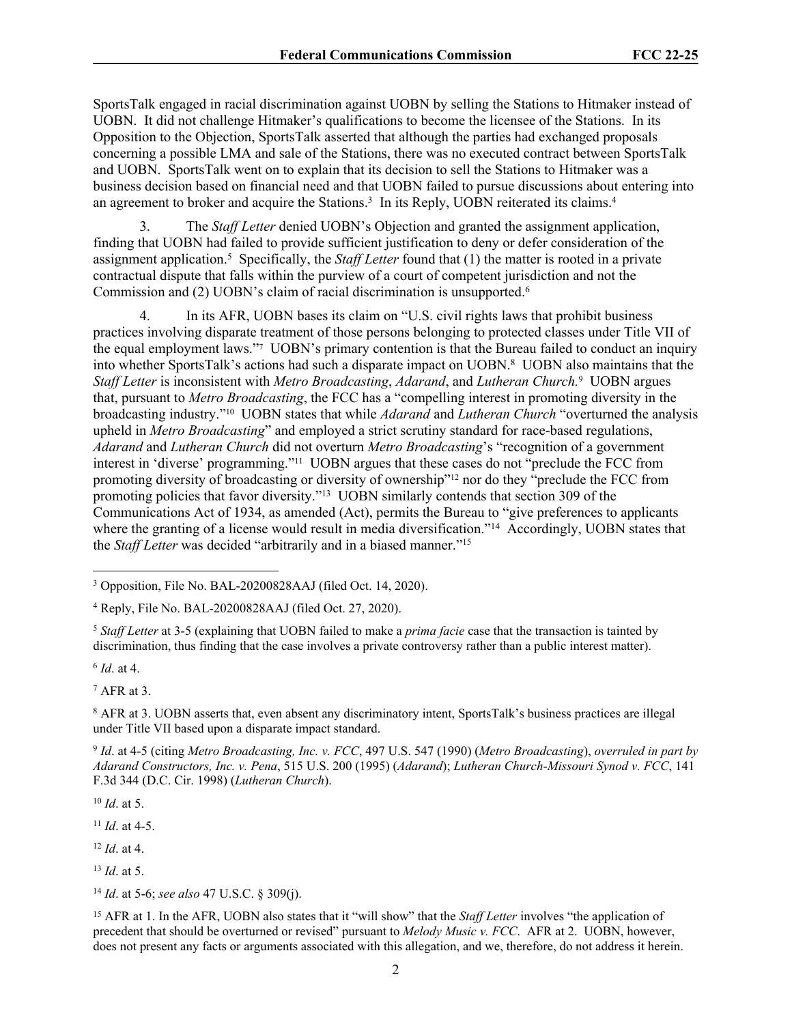SportsTalk engaged in racial discrimination against UOBN by selling the Stations to Hitmaker instead of UOBN. It did not challenge Hitmaker's qualifications to become the licensee of the Stations. In its Opposition to the Objection, SportsTalk asserted that although the parties had exchanged proposals concerning a possible LMA and sale of the Stations, there was no executed contract between SportsTalk and UOBN. SportsTalk went on to explain that its decision to sell the Stations to Hitmaker was a business decision based on financial need and that UOBN failed to pursue discussions about entering into an agreement to broker and acquire the Stations.<sup>3</sup> In its Reply, UOBN reiterated its claims.<sup>4</sup>

3. The *Staff Letter* denied UOBN's Objection and granted the assignment application, finding that UOBN had failed to provide sufficient justification to deny or defer consideration of the assignment application.<sup>5</sup> Specifically, the *Staff Letter* found that (1) the matter is rooted in a private contractual dispute that falls within the purview of a court of competent jurisdiction and not the Commission and (2) UOBN's claim of racial discrimination is unsupported.<sup>6</sup>

4. In its AFR, UOBN bases its claim on "U.S. civil rights laws that prohibit business practices involving disparate treatment of those persons belonging to protected classes under Title VII of the equal employment laws."<sup>7</sup> UOBN's primary contention is that the Bureau failed to conduct an inquiry into whether SportsTalk's actions had such a disparate impact on UOBN.<sup>8</sup> UOBN also maintains that the *Staff Letter* is inconsistent with *Metro Broadcasting*, *Adarand*, and *Lutheran Church*.<sup>9</sup> UOBN argues that, pursuant to *Metro Broadcasting*, the FCC has a "compelling interest in promoting diversity in the broadcasting industry."10 UOBN states that while *Adarand* and *Lutheran Church* "overturned the analysis upheld in *Metro Broadcasting*" and employed a strict scrutiny standard for race-based regulations, *Adarand* and *Lutheran Church* did not overturn *Metro Broadcasting*'s "recognition of a government interest in 'diverse' programming."11 UOBN argues that these cases do not "preclude the FCC from promoting diversity of broadcasting or diversity of ownership"12 nor do they "preclude the FCC from promoting policies that favor diversity."<sup>13</sup> UOBN similarly contends that section 309 of the Communications Act of 1934, as amended (Act), permits the Bureau to "give preferences to applicants where the granting of a license would result in media diversification."<sup>14</sup> Accordingly, UOBN states that the *Staff Letter* was decided "arbitrarily and in a biased manner."<sup>15</sup>

<sup>5</sup> *Staff Letter* at 3-5 (explaining that UOBN failed to make a *prima facie* case that the transaction is tainted by discrimination, thus finding that the case involves a private controversy rather than a public interest matter).

6 *Id*. at 4.

7 AFR at 3.

8 AFR at 3. UOBN asserts that, even absent any discriminatory intent, SportsTalk's business practices are illegal under Title VII based upon a disparate impact standard.

9 *Id*. at 4-5 (citing *Metro Broadcasting, Inc. v. FCC*, 497 U.S. 547 (1990) (*Metro Broadcasting*), *overruled in part by Adarand Constructors, Inc. v. Pena*, 515 U.S. 200 (1995) (*Adarand*); *Lutheran Church-Missouri Synod v. FCC*, 141 F.3d 344 (D.C. Cir. 1998) (*Lutheran Church*).

<sup>10</sup> *Id*. at 5.

<sup>11</sup> *Id*. at 4-5.

<sup>12</sup> *Id*. at 4.

<sup>13</sup> *Id*. at 5.

<sup>14</sup> *Id*. at 5-6; *see also* 47 U.S.C. § 309(j).

<sup>15</sup> AFR at 1. In the AFR, UOBN also states that it "will show" that the *Staff Letter* involves "the application of precedent that should be overturned or revised" pursuant to *Melody Music v. FCC*. AFR at 2. UOBN, however, does not present any facts or arguments associated with this allegation, and we, therefore, do not address it herein.

<sup>&</sup>lt;sup>3</sup> Opposition, File No. BAL-20200828AAJ (filed Oct. 14, 2020).

<sup>4</sup> Reply, File No. BAL-20200828AAJ (filed Oct. 27, 2020).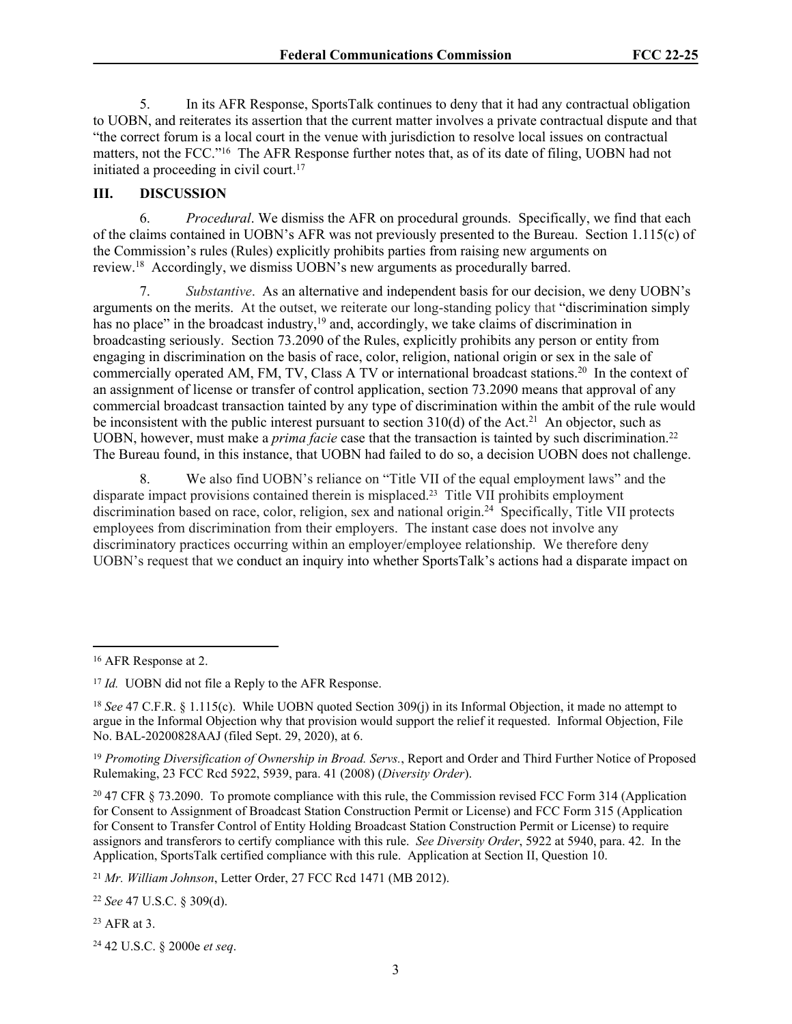5. In its AFR Response, SportsTalk continues to deny that it had any contractual obligation to UOBN, and reiterates its assertion that the current matter involves a private contractual dispute and that "the correct forum is a local court in the venue with jurisdiction to resolve local issues on contractual matters, not the FCC."<sup>16</sup> The AFR Response further notes that, as of its date of filing, UOBN had not initiated a proceeding in civil court.<sup>17</sup>

# **III. DISCUSSION**

6. *Procedural*. We dismiss the AFR on procedural grounds. Specifically, we find that each of the claims contained in UOBN's AFR was not previously presented to the Bureau. Section 1.115(c) of the Commission's rules (Rules) explicitly prohibits parties from raising new arguments on review.<sup>18</sup> Accordingly, we dismiss UOBN's new arguments as procedurally barred.

7. *Substantive*. As an alternative and independent basis for our decision, we deny UOBN's arguments on the merits. At the outset, we reiterate our long-standing policy that "discrimination simply has no place" in the broadcast industry,<sup>19</sup> and, accordingly, we take claims of discrimination in broadcasting seriously. Section 73.2090 of the Rules, explicitly prohibits any person or entity from engaging in discrimination on the basis of race, color, religion, national origin or sex in the sale of commercially operated AM, FM, TV, Class A TV or international broadcast stations.<sup>20</sup> In the context of an assignment of license or transfer of control application, section 73.2090 means that approval of any commercial broadcast transaction tainted by any type of discrimination within the ambit of the rule would be inconsistent with the public interest pursuant to section  $310(d)$  of the Act.<sup>21</sup> An objector, such as UOBN, however, must make a *prima facie* case that the transaction is tainted by such discrimination.<sup>22</sup> The Bureau found, in this instance, that UOBN had failed to do so, a decision UOBN does not challenge.

8. We also find UOBN's reliance on "Title VII of the equal employment laws" and the disparate impact provisions contained therein is misplaced.23 Title VII prohibits employment discrimination based on race, color, religion, sex and national origin.<sup>24</sup> Specifically, Title VII protects employees from discrimination from their employers. The instant case does not involve any discriminatory practices occurring within an employer/employee relationship. We therefore deny UOBN's request that we conduct an inquiry into whether SportsTalk's actions had a disparate impact on

<sup>16</sup> AFR Response at 2.

<sup>&</sup>lt;sup>17</sup> *Id.* UOBN did not file a Reply to the AFR Response.

<sup>&</sup>lt;sup>18</sup> *See* 47 C.F.R. § 1.115(c). While UOBN quoted Section 309(i) in its Informal Objection, it made no attempt to argue in the Informal Objection why that provision would support the relief it requested. Informal Objection, File No. BAL-20200828AAJ (filed Sept. 29, 2020), at 6.

<sup>19</sup> *Promoting Diversification of Ownership in Broad. Servs.*, Report and Order and Third Further Notice of Proposed Rulemaking, 23 FCC Rcd 5922, 5939, para. 41 (2008) (*Diversity Order*).

<sup>20</sup> 47 CFR § 73.2090. To promote compliance with this rule, the Commission revised FCC Form 314 (Application for Consent to Assignment of Broadcast Station Construction Permit or License) and FCC Form 315 (Application for Consent to Transfer Control of Entity Holding Broadcast Station Construction Permit or License) to require assignors and transferors to certify compliance with this rule. *See Diversity Order*, 5922 at 5940, para. 42. In the Application, SportsTalk certified compliance with this rule. Application at Section II, Question 10.

<sup>21</sup> *Mr. William Johnson*, Letter Order, 27 FCC Rcd 1471 (MB 2012).

<sup>22</sup> *See* 47 U.S.C. § 309(d).

<sup>23</sup> AFR at 3.

<sup>24</sup> 42 U.S.C. § 2000e *et seq*.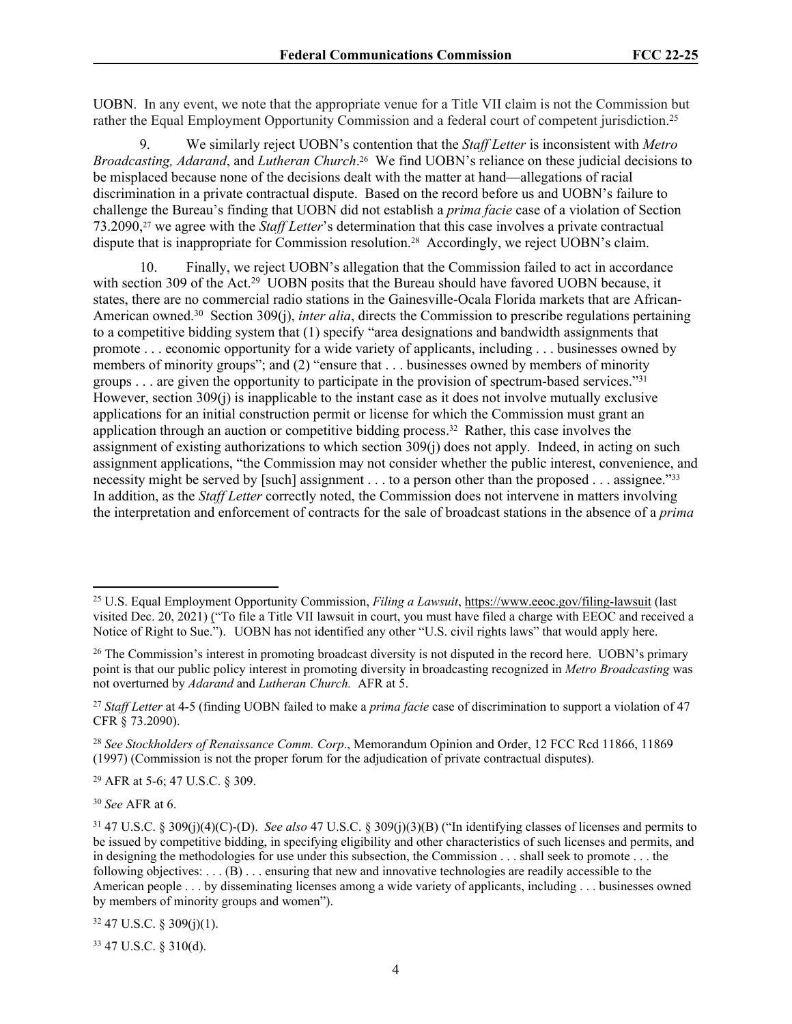UOBN. In any event, we note that the appropriate venue for a Title VII claim is not the Commission but rather the Equal Employment Opportunity Commission and a federal court of competent jurisdiction.<sup>25</sup>

9. We similarly reject UOBN's contention that the *Staff Letter* is inconsistent with *Metro Broadcasting, Adarand*, and *Lutheran Church*. <sup>26</sup> We find UOBN's reliance on these judicial decisions to be misplaced because none of the decisions dealt with the matter at hand—allegations of racial discrimination in a private contractual dispute. Based on the record before us and UOBN's failure to challenge the Bureau's finding that UOBN did not establish a *prima facie* case of a violation of Section 73.2090,27 we agree with the *Staff Letter*'s determination that this case involves a private contractual dispute that is inappropriate for Commission resolution.28 Accordingly, we reject UOBN's claim.

10. Finally, we reject UOBN's allegation that the Commission failed to act in accordance with section 309 of the Act.<sup>29</sup> UOBN posits that the Bureau should have favored UOBN because, it states, there are no commercial radio stations in the Gainesville-Ocala Florida markets that are African-American owned.<sup>30</sup> Section 309(j), *inter alia*, directs the Commission to prescribe regulations pertaining to a competitive bidding system that (1) specify "area designations and bandwidth assignments that promote . . . economic opportunity for a wide variety of applicants, including . . . businesses owned by members of minority groups"; and (2) "ensure that . . . businesses owned by members of minority groups . . . are given the opportunity to participate in the provision of spectrum-based services."<sup>31</sup> However, section 309(j) is inapplicable to the instant case as it does not involve mutually exclusive applications for an initial construction permit or license for which the Commission must grant an application through an auction or competitive bidding process.32 Rather, this case involves the assignment of existing authorizations to which section 309(j) does not apply. Indeed, in acting on such assignment applications, "the Commission may not consider whether the public interest, convenience, and necessity might be served by [such] assignment . . . to a person other than the proposed . . . assignee."<sup>33</sup> In addition, as the *Staff Letter* correctly noted, the Commission does not intervene in matters involving the interpretation and enforcement of contracts for the sale of broadcast stations in the absence of a *prima* 

<sup>29</sup> AFR at 5-6; 47 U.S.C. § 309.

<sup>30</sup> *See* AFR at 6.

 $32$  47 U.S.C. § 309(j)(1).

33 47 U.S.C. § 310(d).

<sup>25</sup> U.S. Equal Employment Opportunity Commission, *Filing a Lawsuit*,<https://www.eeoc.gov/filing-lawsuit>(last visited Dec. 20, 2021) ("To file a Title VII lawsuit in court, you must have filed a charge with EEOC and received a Notice of Right to Sue."). UOBN has not identified any other "U.S. civil rights laws" that would apply here.

<sup>&</sup>lt;sup>26</sup> The Commission's interest in promoting broadcast diversity is not disputed in the record here. UOBN's primary point is that our public policy interest in promoting diversity in broadcasting recognized in *Metro Broadcasting* was not overturned by *Adarand* and *Lutheran Church.* AFR at 5.

<sup>27</sup> *Staff Letter* at 4-5 (finding UOBN failed to make a *prima facie* case of discrimination to support a violation of 47 CFR § 73.2090).

<sup>28</sup> *See Stockholders of Renaissance Comm. Corp*., Memorandum Opinion and Order, 12 FCC Rcd 11866, 11869 (1997) (Commission is not the proper forum for the adjudication of private contractual disputes).

<sup>31</sup> 47 U.S.C. § 309(j)(4)(C)-(D). *See also* 47 U.S.C. § 309(j)(3)(B) ("In identifying classes of licenses and permits to be issued by competitive bidding, in specifying eligibility and other characteristics of such licenses and permits, and in designing the methodologies for use under this subsection, the Commission . . . shall seek to promote . . . the following objectives:  $\dots$  (B)  $\dots$  ensuring that new and innovative technologies are readily accessible to the American people . . . by disseminating licenses among a wide variety of applicants, including . . . businesses owned by members of minority groups and women").